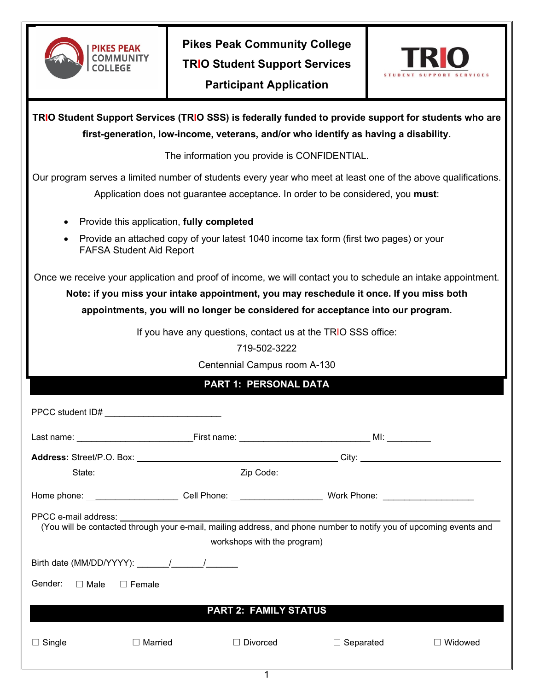

**Pikes Peak Community College TRIO Student Support Services Participant Application**



| TRIO Student Support Services (TRIO SSS) is federally funded to provide support for students who are<br>first-generation, low-income, veterans, and/or who identify as having a disability.      |                                                                                                                |  |  |  |  |
|--------------------------------------------------------------------------------------------------------------------------------------------------------------------------------------------------|----------------------------------------------------------------------------------------------------------------|--|--|--|--|
| The information you provide is CONFIDENTIAL.                                                                                                                                                     |                                                                                                                |  |  |  |  |
| Our program serves a limited number of students every year who meet at least one of the above qualifications.<br>Application does not guarantee acceptance. In order to be considered, you must: |                                                                                                                |  |  |  |  |
| Provide this application, fully completed                                                                                                                                                        |                                                                                                                |  |  |  |  |
| Provide an attached copy of your latest 1040 income tax form (first two pages) or your<br>$\bullet$<br><b>FAFSA Student Aid Report</b>                                                           |                                                                                                                |  |  |  |  |
| Once we receive your application and proof of income, we will contact you to schedule an intake appointment.                                                                                     |                                                                                                                |  |  |  |  |
| Note: if you miss your intake appointment, you may reschedule it once. If you miss both                                                                                                          |                                                                                                                |  |  |  |  |
| appointments, you will no longer be considered for acceptance into our program.                                                                                                                  |                                                                                                                |  |  |  |  |
| If you have any questions, contact us at the TRIO SSS office:                                                                                                                                    |                                                                                                                |  |  |  |  |
| 719-502-3222                                                                                                                                                                                     |                                                                                                                |  |  |  |  |
| Centennial Campus room A-130                                                                                                                                                                     |                                                                                                                |  |  |  |  |
| <b>PART 1: PERSONAL DATA</b>                                                                                                                                                                     |                                                                                                                |  |  |  |  |
|                                                                                                                                                                                                  |                                                                                                                |  |  |  |  |
|                                                                                                                                                                                                  |                                                                                                                |  |  |  |  |
|                                                                                                                                                                                                  |                                                                                                                |  |  |  |  |
|                                                                                                                                                                                                  |                                                                                                                |  |  |  |  |
|                                                                                                                                                                                                  | Home phone: __________________________Cell Phone: ______________________________ Work Phone: _________________ |  |  |  |  |
| PPCC e-mail address:<br>workshops with the program)                                                                                                                                              |                                                                                                                |  |  |  |  |
|                                                                                                                                                                                                  |                                                                                                                |  |  |  |  |
| Gender:<br>$\Box$ Male                                                                                                                                                                           | $\Box$ Female                                                                                                  |  |  |  |  |
| <b>PART 2: FAMILY STATUS</b>                                                                                                                                                                     |                                                                                                                |  |  |  |  |
|                                                                                                                                                                                                  |                                                                                                                |  |  |  |  |

1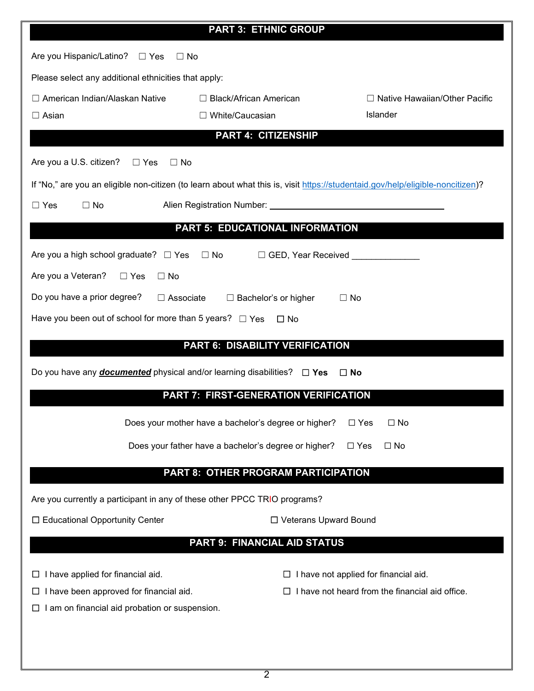| <b>PART 3: ETHNIC GROUP</b>                                                                                                                               |                                                         |                                                                                               |  |  |  |  |
|-----------------------------------------------------------------------------------------------------------------------------------------------------------|---------------------------------------------------------|-----------------------------------------------------------------------------------------------|--|--|--|--|
| Are you Hispanic/Latino? $\Box$ Yes<br>$\Box$ No                                                                                                          |                                                         |                                                                                               |  |  |  |  |
| Please select any additional ethnicities that apply:                                                                                                      |                                                         |                                                                                               |  |  |  |  |
| $\Box$ American Indian/Alaskan Native<br>$\square$ Asian                                                                                                  | $\Box$ Black/African American<br>$\Box$ White/Caucasian | $\Box$ Native Hawaiian/Other Pacific<br><b>Islander</b>                                       |  |  |  |  |
|                                                                                                                                                           | <b>PART 4: CITIZENSHIP</b>                              |                                                                                               |  |  |  |  |
|                                                                                                                                                           |                                                         |                                                                                               |  |  |  |  |
| Are you a U.S. citizen? $\Box$ Yes<br>$\Box$ No                                                                                                           |                                                         |                                                                                               |  |  |  |  |
| If "No," are you an eligible non-citizen (to learn about what this is, visit https://studentaid.gov/help/eligible-noncitizen)?<br>$\Box$ Yes<br>$\Box$ No |                                                         |                                                                                               |  |  |  |  |
| PART 5: EDUCATIONAL INFORMATION                                                                                                                           |                                                         |                                                                                               |  |  |  |  |
| Are you a high school graduate? □ Yes □ No □ GED, Year Received _______________                                                                           |                                                         |                                                                                               |  |  |  |  |
| Are you a Veteran?<br>$\Box$ Yes<br>$\Box$ No                                                                                                             |                                                         |                                                                                               |  |  |  |  |
| Do you have a prior degree?<br>$\Box$ Associate<br>$\Box$ Bachelor's or higher<br>$\Box$ No                                                               |                                                         |                                                                                               |  |  |  |  |
| Have you been out of school for more than 5 years? $\Box$ Yes $\Box$ No                                                                                   |                                                         |                                                                                               |  |  |  |  |
| <b>PART 6: DISABILITY VERIFICATION</b>                                                                                                                    |                                                         |                                                                                               |  |  |  |  |
| Do you have any <b>documented</b> physical and/or learning disabilities? $\Box$ Yes<br>$\square$ No                                                       |                                                         |                                                                                               |  |  |  |  |
| <b>PART 7: FIRST-GENERATION VERIFICATION</b>                                                                                                              |                                                         |                                                                                               |  |  |  |  |
|                                                                                                                                                           | Does your mother have a bachelor's degree or higher?    | $\Box$ No<br>$\Box$ Yes                                                                       |  |  |  |  |
| Does your father have a bachelor's degree or higher?<br>$\Box$ Yes<br>$\Box$ No                                                                           |                                                         |                                                                                               |  |  |  |  |
| PART 8: OTHER PROGRAM PARTICIPATION                                                                                                                       |                                                         |                                                                                               |  |  |  |  |
| Are you currently a participant in any of these other PPCC TRIO programs?                                                                                 |                                                         |                                                                                               |  |  |  |  |
| □ Educational Opportunity Center                                                                                                                          | □ Veterans Upward Bound                                 |                                                                                               |  |  |  |  |
| <b>PART 9: FINANCIAL AID STATUS</b>                                                                                                                       |                                                         |                                                                                               |  |  |  |  |
|                                                                                                                                                           |                                                         |                                                                                               |  |  |  |  |
| I have applied for financial aid.<br>I have been approved for financial aid.                                                                              |                                                         | I have not applied for financial aid.<br>I have not heard from the financial aid office.<br>Ш |  |  |  |  |
| ப<br>I am on financial aid probation or suspension.                                                                                                       |                                                         |                                                                                               |  |  |  |  |
|                                                                                                                                                           |                                                         |                                                                                               |  |  |  |  |